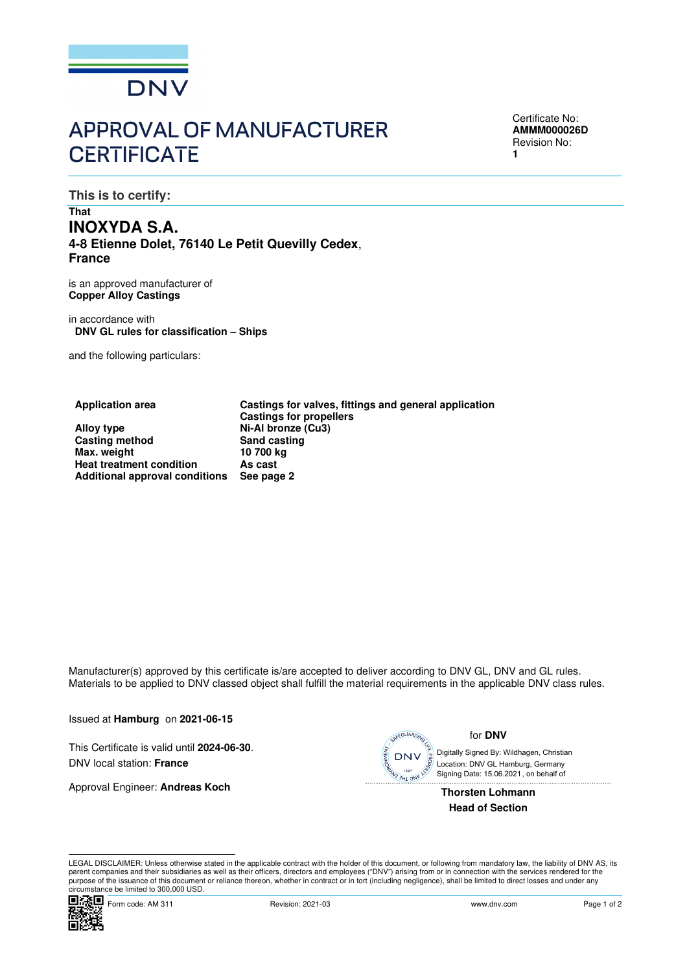

## APPROVAL OF MANUFACTURER **CERTIFICATE**

Certificate No: **AMMM000026D** Revision No: **1** 

**This is to certify:** 

## **That INOXYDA S.A. 4-8 Etienne Dolet, 76140 Le Petit Quevilly Cedex**, **France**

is an approved manufacturer of **Copper Alloy Castings**

in accordance with **DNV GL rules for classification – Ships**

and the following particulars:

**Application area Castings for valves, fittings and general application Castings for propellers Alloy type Ni-Al bronze (Cu3) Casting method Sand casting**<br> **Max.** weight **COM**<br> **SAND** 10700 kg **Max. weight 10 700 k**<br> **10 700 kg**<br> **12 Heat treatment condition** As cast **Heat treatment condition As cast**<br> **Additional approval conditions** See page 2 **Additional approval conditions** 

Manufacturer(s) approved by this certificate is/are accepted to deliver according to DNV GL, DNV and GL rules. Materials to be applied to DNV classed object shall fulfill the material requirements in the applicable DNV class rules.

Issued at **Hamburg** on **2021-06-15**

This Certificate is valid until **2024-06-30**. DNV local station: **France**

Approval Engineer: **Andreas Koch**



for **DNV**

 Signing Date: 15.06.2021 , on behalf ofDigitally Signed By: Wildhagen, Christian Location: DNV GL Hamburg, Germany

**Thorsten Lohmann Head of Section**

LEGAL DISCLAIMER: Unless otherwise stated in the applicable contract with the holder of this document, or following from mandatory law, the liability of DNV AS, its parent companies and their subsidiaries as well as their officers, directors and employees ("DNV") arising from or in connection with the services rendered for the purpose of the issuance of this document or reliance thereon, whether in contract or in tort (including negligence), shall be limited to direct losses and under any circumstance be limited to 300,000 USD.